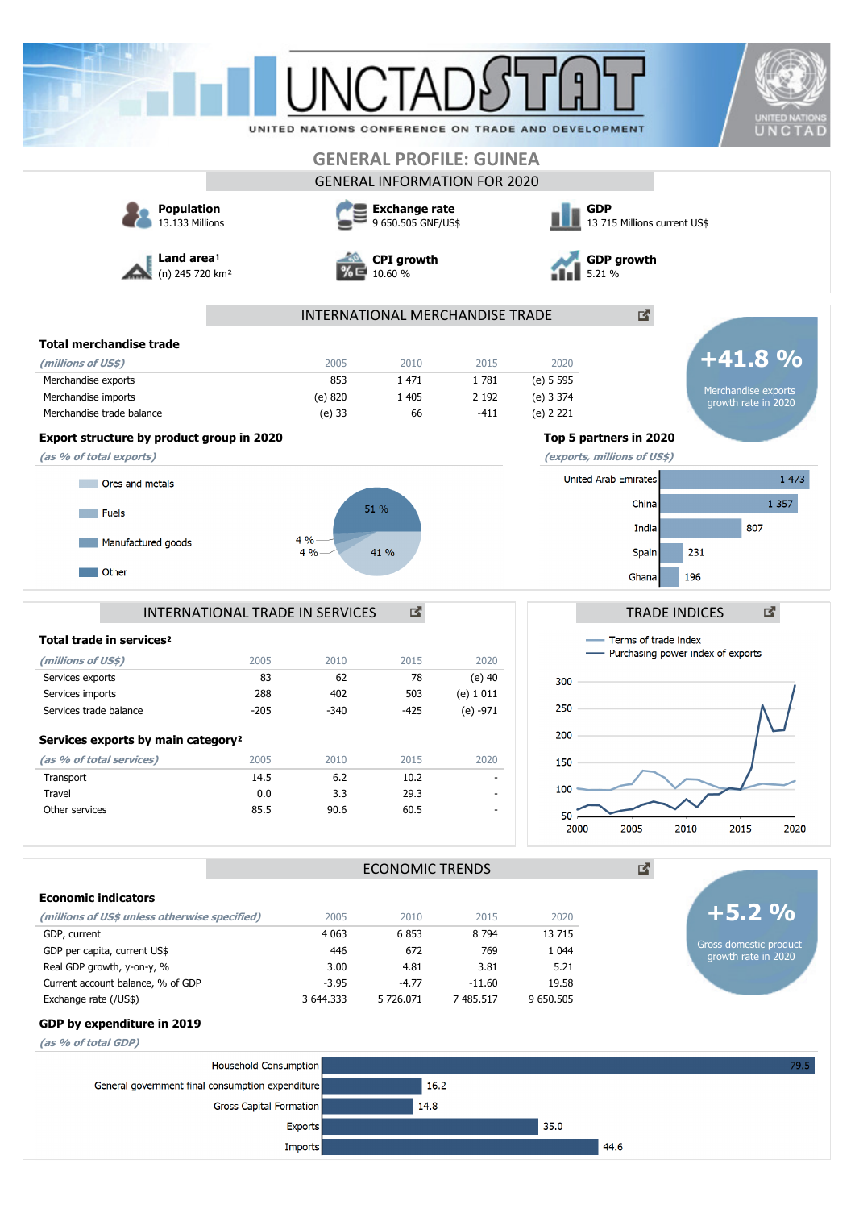| <b>GENERAL PROFILE: GUINEA</b><br><b>GENERAL INFORMATION FOR 2020</b><br><b>Population</b><br><b>GDP</b><br><b>Exchange rate</b><br>13.133 Millions<br>9 650.505 GNF/US\$<br>13 715 Millions current US\$<br>Land area <sup>1</sup><br><b>GDP growth</b><br><b>CPI</b> growth<br>(n) 245 720 km <sup>2</sup><br>10.60 %<br>5.21 %<br>凶.<br>INTERNATIONAL MERCHANDISE TRADE<br><b>Total merchandise trade</b><br>2020<br>(millions of US\$)<br>2005<br>2010<br>2015<br>1781<br>(e) 5 595<br>Merchandise exports<br>853<br>1 4 7 1<br>Merchandise exports<br>(e) 820<br>1 4 0 5<br>2 1 9 2<br>(e) 3 374<br>Merchandise imports<br>Merchandise trade balance<br>$(e)$ 33<br>66<br>$-411$<br>(e) 2 221<br>Export structure by product group in 2020<br>Top 5 partners in 2020<br>(as % of total exports)<br>(exports, millions of US\$)<br><b>United Arab Emirates</b><br>Ores and metals<br>China<br>51 %<br><b>Fuels</b><br>India<br>$4% -$<br>Manufactured goods<br>231<br>4%<br>41 %<br><b>Spain</b><br>Other<br>196<br>Ghana<br>國<br>INTERNATIONAL TRADE IN SERVICES<br><b>TRADE INDICES</b><br>Terms of trade index<br>Total trade in services <sup>2</sup><br>- Purchasing power index of exports<br>2005<br>2010<br>2015<br>(millions of US\$)<br>2020<br>78<br>83<br>62<br>$(e)$ 40<br>Services exports<br>300<br>Services imports<br>$(e)$ 1 011<br>288<br>402<br>503<br>250<br>Services trade balance<br>$-205$<br>$-340$<br>$-425$<br>$(e) -971$<br>200<br>Services exports by main category <sup>2</sup><br>(as % of total services)<br>2005<br>2010<br>2015<br>2020<br>150<br>6.2<br>Transport<br>14.5<br>10.2<br>100<br>0.0<br>3.3<br>29.3<br>Travel<br>Other services<br>90.6<br>60.5<br>85.5<br>$\overline{\phantom{a}}$<br>50<br>2000<br>2005<br>2010<br>2015<br>凶.<br><b>ECONOMIC TRENDS</b><br><b>Economic indicators</b><br><u>+5.2 %</u><br>(millions of US\$ unless otherwise specified)<br>2005<br>2010<br>2015<br>2020<br>8 7 9 4<br>GDP, current<br>4 0 63<br>6853<br>13 7 15<br>Gross domestic product<br>GDP per capita, current US\$<br>446<br>672<br>1 0 4 4<br>769<br>Real GDP growth, y-on-y, %<br>5.21<br>3.00<br>4.81<br>3.81<br>Current account balance, % of GDP<br>19.58<br>$-3.95$<br>$-4.77$<br>$-11.60$<br>Exchange rate (/US\$)<br>7 485.517<br>9 650.505<br>3 644.333<br>5 726.071<br>GDP by expenditure in 2019<br>(as % of total GDP)<br>Household Consumption |         | <b>UNITED NATIONS</b><br>UNCTAD | UNITED NATIONS CONFERENCE ON TRADE AND DEVELOPMENT |  |  |  |
|--------------------------------------------------------------------------------------------------------------------------------------------------------------------------------------------------------------------------------------------------------------------------------------------------------------------------------------------------------------------------------------------------------------------------------------------------------------------------------------------------------------------------------------------------------------------------------------------------------------------------------------------------------------------------------------------------------------------------------------------------------------------------------------------------------------------------------------------------------------------------------------------------------------------------------------------------------------------------------------------------------------------------------------------------------------------------------------------------------------------------------------------------------------------------------------------------------------------------------------------------------------------------------------------------------------------------------------------------------------------------------------------------------------------------------------------------------------------------------------------------------------------------------------------------------------------------------------------------------------------------------------------------------------------------------------------------------------------------------------------------------------------------------------------------------------------------------------------------------------------------------------------------------------------------------------------------------------------------------------------------------------------------------------------------------------------------------------------------------------------------------------------------------------------------------------------------------------------------------------------------------------------------------------------------------------------------------------------------------------------------------------------------------|---------|---------------------------------|----------------------------------------------------|--|--|--|
|                                                                                                                                                                                                                                                                                                                                                                                                                                                                                                                                                                                                                                                                                                                                                                                                                                                                                                                                                                                                                                                                                                                                                                                                                                                                                                                                                                                                                                                                                                                                                                                                                                                                                                                                                                                                                                                                                                                                                                                                                                                                                                                                                                                                                                                                                                                                                                                                        |         |                                 |                                                    |  |  |  |
|                                                                                                                                                                                                                                                                                                                                                                                                                                                                                                                                                                                                                                                                                                                                                                                                                                                                                                                                                                                                                                                                                                                                                                                                                                                                                                                                                                                                                                                                                                                                                                                                                                                                                                                                                                                                                                                                                                                                                                                                                                                                                                                                                                                                                                                                                                                                                                                                        |         |                                 |                                                    |  |  |  |
|                                                                                                                                                                                                                                                                                                                                                                                                                                                                                                                                                                                                                                                                                                                                                                                                                                                                                                                                                                                                                                                                                                                                                                                                                                                                                                                                                                                                                                                                                                                                                                                                                                                                                                                                                                                                                                                                                                                                                                                                                                                                                                                                                                                                                                                                                                                                                                                                        |         |                                 |                                                    |  |  |  |
|                                                                                                                                                                                                                                                                                                                                                                                                                                                                                                                                                                                                                                                                                                                                                                                                                                                                                                                                                                                                                                                                                                                                                                                                                                                                                                                                                                                                                                                                                                                                                                                                                                                                                                                                                                                                                                                                                                                                                                                                                                                                                                                                                                                                                                                                                                                                                                                                        |         |                                 |                                                    |  |  |  |
|                                                                                                                                                                                                                                                                                                                                                                                                                                                                                                                                                                                                                                                                                                                                                                                                                                                                                                                                                                                                                                                                                                                                                                                                                                                                                                                                                                                                                                                                                                                                                                                                                                                                                                                                                                                                                                                                                                                                                                                                                                                                                                                                                                                                                                                                                                                                                                                                        |         |                                 |                                                    |  |  |  |
|                                                                                                                                                                                                                                                                                                                                                                                                                                                                                                                                                                                                                                                                                                                                                                                                                                                                                                                                                                                                                                                                                                                                                                                                                                                                                                                                                                                                                                                                                                                                                                                                                                                                                                                                                                                                                                                                                                                                                                                                                                                                                                                                                                                                                                                                                                                                                                                                        |         |                                 |                                                    |  |  |  |
|                                                                                                                                                                                                                                                                                                                                                                                                                                                                                                                                                                                                                                                                                                                                                                                                                                                                                                                                                                                                                                                                                                                                                                                                                                                                                                                                                                                                                                                                                                                                                                                                                                                                                                                                                                                                                                                                                                                                                                                                                                                                                                                                                                                                                                                                                                                                                                                                        |         | $+41.8%$                        |                                                    |  |  |  |
|                                                                                                                                                                                                                                                                                                                                                                                                                                                                                                                                                                                                                                                                                                                                                                                                                                                                                                                                                                                                                                                                                                                                                                                                                                                                                                                                                                                                                                                                                                                                                                                                                                                                                                                                                                                                                                                                                                                                                                                                                                                                                                                                                                                                                                                                                                                                                                                                        |         |                                 |                                                    |  |  |  |
|                                                                                                                                                                                                                                                                                                                                                                                                                                                                                                                                                                                                                                                                                                                                                                                                                                                                                                                                                                                                                                                                                                                                                                                                                                                                                                                                                                                                                                                                                                                                                                                                                                                                                                                                                                                                                                                                                                                                                                                                                                                                                                                                                                                                                                                                                                                                                                                                        |         | growth rate in 2020             |                                                    |  |  |  |
|                                                                                                                                                                                                                                                                                                                                                                                                                                                                                                                                                                                                                                                                                                                                                                                                                                                                                                                                                                                                                                                                                                                                                                                                                                                                                                                                                                                                                                                                                                                                                                                                                                                                                                                                                                                                                                                                                                                                                                                                                                                                                                                                                                                                                                                                                                                                                                                                        |         |                                 |                                                    |  |  |  |
|                                                                                                                                                                                                                                                                                                                                                                                                                                                                                                                                                                                                                                                                                                                                                                                                                                                                                                                                                                                                                                                                                                                                                                                                                                                                                                                                                                                                                                                                                                                                                                                                                                                                                                                                                                                                                                                                                                                                                                                                                                                                                                                                                                                                                                                                                                                                                                                                        |         |                                 |                                                    |  |  |  |
|                                                                                                                                                                                                                                                                                                                                                                                                                                                                                                                                                                                                                                                                                                                                                                                                                                                                                                                                                                                                                                                                                                                                                                                                                                                                                                                                                                                                                                                                                                                                                                                                                                                                                                                                                                                                                                                                                                                                                                                                                                                                                                                                                                                                                                                                                                                                                                                                        | 1 473   |                                 |                                                    |  |  |  |
|                                                                                                                                                                                                                                                                                                                                                                                                                                                                                                                                                                                                                                                                                                                                                                                                                                                                                                                                                                                                                                                                                                                                                                                                                                                                                                                                                                                                                                                                                                                                                                                                                                                                                                                                                                                                                                                                                                                                                                                                                                                                                                                                                                                                                                                                                                                                                                                                        |         |                                 |                                                    |  |  |  |
|                                                                                                                                                                                                                                                                                                                                                                                                                                                                                                                                                                                                                                                                                                                                                                                                                                                                                                                                                                                                                                                                                                                                                                                                                                                                                                                                                                                                                                                                                                                                                                                                                                                                                                                                                                                                                                                                                                                                                                                                                                                                                                                                                                                                                                                                                                                                                                                                        | 1 3 5 7 |                                 |                                                    |  |  |  |
|                                                                                                                                                                                                                                                                                                                                                                                                                                                                                                                                                                                                                                                                                                                                                                                                                                                                                                                                                                                                                                                                                                                                                                                                                                                                                                                                                                                                                                                                                                                                                                                                                                                                                                                                                                                                                                                                                                                                                                                                                                                                                                                                                                                                                                                                                                                                                                                                        |         | 807                             |                                                    |  |  |  |
|                                                                                                                                                                                                                                                                                                                                                                                                                                                                                                                                                                                                                                                                                                                                                                                                                                                                                                                                                                                                                                                                                                                                                                                                                                                                                                                                                                                                                                                                                                                                                                                                                                                                                                                                                                                                                                                                                                                                                                                                                                                                                                                                                                                                                                                                                                                                                                                                        |         |                                 |                                                    |  |  |  |
|                                                                                                                                                                                                                                                                                                                                                                                                                                                                                                                                                                                                                                                                                                                                                                                                                                                                                                                                                                                                                                                                                                                                                                                                                                                                                                                                                                                                                                                                                                                                                                                                                                                                                                                                                                                                                                                                                                                                                                                                                                                                                                                                                                                                                                                                                                                                                                                                        |         |                                 |                                                    |  |  |  |
|                                                                                                                                                                                                                                                                                                                                                                                                                                                                                                                                                                                                                                                                                                                                                                                                                                                                                                                                                                                                                                                                                                                                                                                                                                                                                                                                                                                                                                                                                                                                                                                                                                                                                                                                                                                                                                                                                                                                                                                                                                                                                                                                                                                                                                                                                                                                                                                                        |         |                                 |                                                    |  |  |  |
|                                                                                                                                                                                                                                                                                                                                                                                                                                                                                                                                                                                                                                                                                                                                                                                                                                                                                                                                                                                                                                                                                                                                                                                                                                                                                                                                                                                                                                                                                                                                                                                                                                                                                                                                                                                                                                                                                                                                                                                                                                                                                                                                                                                                                                                                                                                                                                                                        |         |                                 |                                                    |  |  |  |
|                                                                                                                                                                                                                                                                                                                                                                                                                                                                                                                                                                                                                                                                                                                                                                                                                                                                                                                                                                                                                                                                                                                                                                                                                                                                                                                                                                                                                                                                                                                                                                                                                                                                                                                                                                                                                                                                                                                                                                                                                                                                                                                                                                                                                                                                                                                                                                                                        |         |                                 |                                                    |  |  |  |
|                                                                                                                                                                                                                                                                                                                                                                                                                                                                                                                                                                                                                                                                                                                                                                                                                                                                                                                                                                                                                                                                                                                                                                                                                                                                                                                                                                                                                                                                                                                                                                                                                                                                                                                                                                                                                                                                                                                                                                                                                                                                                                                                                                                                                                                                                                                                                                                                        |         |                                 |                                                    |  |  |  |
|                                                                                                                                                                                                                                                                                                                                                                                                                                                                                                                                                                                                                                                                                                                                                                                                                                                                                                                                                                                                                                                                                                                                                                                                                                                                                                                                                                                                                                                                                                                                                                                                                                                                                                                                                                                                                                                                                                                                                                                                                                                                                                                                                                                                                                                                                                                                                                                                        |         |                                 |                                                    |  |  |  |
|                                                                                                                                                                                                                                                                                                                                                                                                                                                                                                                                                                                                                                                                                                                                                                                                                                                                                                                                                                                                                                                                                                                                                                                                                                                                                                                                                                                                                                                                                                                                                                                                                                                                                                                                                                                                                                                                                                                                                                                                                                                                                                                                                                                                                                                                                                                                                                                                        |         |                                 |                                                    |  |  |  |
|                                                                                                                                                                                                                                                                                                                                                                                                                                                                                                                                                                                                                                                                                                                                                                                                                                                                                                                                                                                                                                                                                                                                                                                                                                                                                                                                                                                                                                                                                                                                                                                                                                                                                                                                                                                                                                                                                                                                                                                                                                                                                                                                                                                                                                                                                                                                                                                                        | 2020    |                                 |                                                    |  |  |  |
|                                                                                                                                                                                                                                                                                                                                                                                                                                                                                                                                                                                                                                                                                                                                                                                                                                                                                                                                                                                                                                                                                                                                                                                                                                                                                                                                                                                                                                                                                                                                                                                                                                                                                                                                                                                                                                                                                                                                                                                                                                                                                                                                                                                                                                                                                                                                                                                                        |         |                                 |                                                    |  |  |  |
|                                                                                                                                                                                                                                                                                                                                                                                                                                                                                                                                                                                                                                                                                                                                                                                                                                                                                                                                                                                                                                                                                                                                                                                                                                                                                                                                                                                                                                                                                                                                                                                                                                                                                                                                                                                                                                                                                                                                                                                                                                                                                                                                                                                                                                                                                                                                                                                                        |         |                                 |                                                    |  |  |  |
|                                                                                                                                                                                                                                                                                                                                                                                                                                                                                                                                                                                                                                                                                                                                                                                                                                                                                                                                                                                                                                                                                                                                                                                                                                                                                                                                                                                                                                                                                                                                                                                                                                                                                                                                                                                                                                                                                                                                                                                                                                                                                                                                                                                                                                                                                                                                                                                                        |         |                                 |                                                    |  |  |  |
|                                                                                                                                                                                                                                                                                                                                                                                                                                                                                                                                                                                                                                                                                                                                                                                                                                                                                                                                                                                                                                                                                                                                                                                                                                                                                                                                                                                                                                                                                                                                                                                                                                                                                                                                                                                                                                                                                                                                                                                                                                                                                                                                                                                                                                                                                                                                                                                                        |         |                                 |                                                    |  |  |  |
|                                                                                                                                                                                                                                                                                                                                                                                                                                                                                                                                                                                                                                                                                                                                                                                                                                                                                                                                                                                                                                                                                                                                                                                                                                                                                                                                                                                                                                                                                                                                                                                                                                                                                                                                                                                                                                                                                                                                                                                                                                                                                                                                                                                                                                                                                                                                                                                                        |         |                                 |                                                    |  |  |  |
|                                                                                                                                                                                                                                                                                                                                                                                                                                                                                                                                                                                                                                                                                                                                                                                                                                                                                                                                                                                                                                                                                                                                                                                                                                                                                                                                                                                                                                                                                                                                                                                                                                                                                                                                                                                                                                                                                                                                                                                                                                                                                                                                                                                                                                                                                                                                                                                                        |         |                                 |                                                    |  |  |  |
|                                                                                                                                                                                                                                                                                                                                                                                                                                                                                                                                                                                                                                                                                                                                                                                                                                                                                                                                                                                                                                                                                                                                                                                                                                                                                                                                                                                                                                                                                                                                                                                                                                                                                                                                                                                                                                                                                                                                                                                                                                                                                                                                                                                                                                                                                                                                                                                                        |         | growth rate in 2020             |                                                    |  |  |  |
|                                                                                                                                                                                                                                                                                                                                                                                                                                                                                                                                                                                                                                                                                                                                                                                                                                                                                                                                                                                                                                                                                                                                                                                                                                                                                                                                                                                                                                                                                                                                                                                                                                                                                                                                                                                                                                                                                                                                                                                                                                                                                                                                                                                                                                                                                                                                                                                                        |         |                                 |                                                    |  |  |  |
|                                                                                                                                                                                                                                                                                                                                                                                                                                                                                                                                                                                                                                                                                                                                                                                                                                                                                                                                                                                                                                                                                                                                                                                                                                                                                                                                                                                                                                                                                                                                                                                                                                                                                                                                                                                                                                                                                                                                                                                                                                                                                                                                                                                                                                                                                                                                                                                                        |         |                                 |                                                    |  |  |  |
|                                                                                                                                                                                                                                                                                                                                                                                                                                                                                                                                                                                                                                                                                                                                                                                                                                                                                                                                                                                                                                                                                                                                                                                                                                                                                                                                                                                                                                                                                                                                                                                                                                                                                                                                                                                                                                                                                                                                                                                                                                                                                                                                                                                                                                                                                                                                                                                                        |         |                                 |                                                    |  |  |  |
| 16.2<br>General government final consumption expenditure                                                                                                                                                                                                                                                                                                                                                                                                                                                                                                                                                                                                                                                                                                                                                                                                                                                                                                                                                                                                                                                                                                                                                                                                                                                                                                                                                                                                                                                                                                                                                                                                                                                                                                                                                                                                                                                                                                                                                                                                                                                                                                                                                                                                                                                                                                                                               |         |                                 |                                                    |  |  |  |
| Gross Capital Formation<br>14.8                                                                                                                                                                                                                                                                                                                                                                                                                                                                                                                                                                                                                                                                                                                                                                                                                                                                                                                                                                                                                                                                                                                                                                                                                                                                                                                                                                                                                                                                                                                                                                                                                                                                                                                                                                                                                                                                                                                                                                                                                                                                                                                                                                                                                                                                                                                                                                        | 79.5    |                                 |                                                    |  |  |  |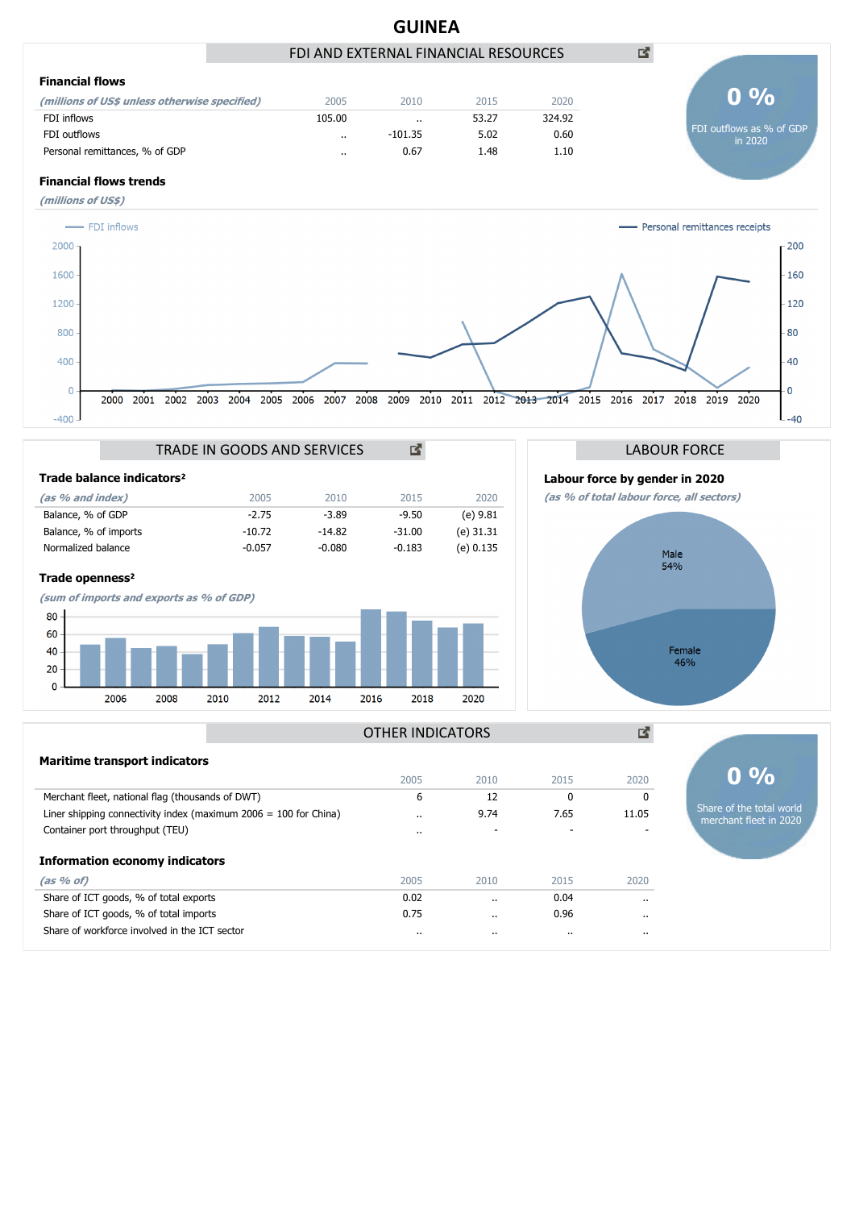

#### **Information economy indicators**

| (as 96 of)                                    | 2005 | 2010                 | 2015    | 2020                 |
|-----------------------------------------------|------|----------------------|---------|----------------------|
| Share of ICT goods, % of total exports        | 0.02 | $\ddotsc$            | 0.04    | $\ddot{\phantom{a}}$ |
| Share of ICT goods, % of total imports        | 0.75 | $\ddot{\phantom{a}}$ | 0.96    |                      |
| Share of workforce involved in the ICT sector |      | $\cdots$             | $\cdot$ | $\cdots$             |
|                                               |      |                      |         |                      |